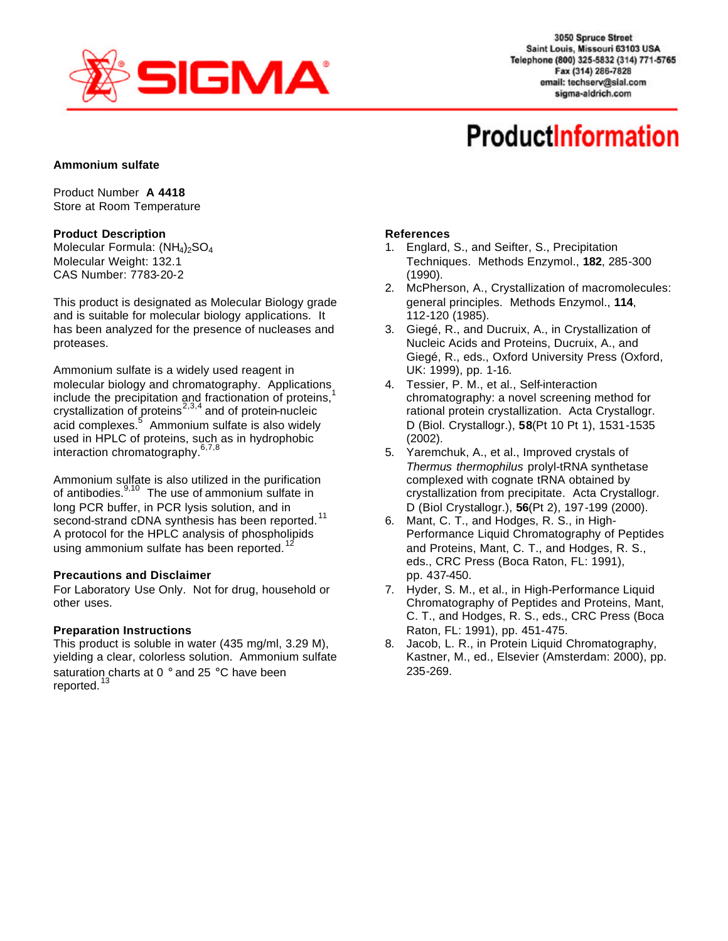

3050 Spruce Street Saint Louis, Missouri 63103 USA Telephone (800) 325-5832 (314) 771-5765 Fax (314) 286-7828 email: techserv@sial.com sigma-aldrich.com

# **ProductInformation**

## **Ammonium sulfate**

Product Number **A 4418** Store at Room Temperature

## **Product Description**

Molecular Formula:  $(NH_4)_2SO_4$ Molecular Weight: 132.1 CAS Number: 7783-20-2

This product is designated as Molecular Biology grade and is suitable for molecular biology applications. It has been analyzed for the presence of nucleases and proteases.

Ammonium sulfate is a widely used reagent in molecular biology and chromatography. Applications include the precipitation and fractionation of proteins, $1$ crystallization of proteins<sup>2,3,4</sup> and of protein-nucleic acid complexes.<sup>5</sup> Ammonium sulfate is also widely used in HPLC of proteins, such as in hydrophobic interaction chromatography.<sup>6,7,8</sup>

Ammonium sulfate is also utilized in the purification of antibodies. $9,10$  The use of ammonium sulfate in long PCR buffer, in PCR lysis solution, and in second-strand cDNA synthesis has been reported.<sup>11</sup> A protocol for the HPLC analysis of phospholipids using ammonium sulfate has been reported. $1$ 

#### **Precautions and Disclaimer**

For Laboratory Use Only. Not for drug, household or other uses.

#### **Preparation Instructions**

This product is soluble in water (435 mg/ml, 3.29 M), yielding a clear, colorless solution. Ammonium sulfate saturation charts at 0 ° and 25 °C have been reported.<sup>1</sup>

# **References**

- 1. Englard, S., and Seifter, S., Precipitation Techniques. Methods Enzymol., **182**, 285-300 (1990).
- 2. McPherson, A., Crystallization of macromolecules: general principles. Methods Enzymol., **114**, 112-120 (1985).
- 3. Giegé, R., and Ducruix, A., in Crystallization of Nucleic Acids and Proteins, Ducruix, A., and Giegé, R., eds., Oxford University Press (Oxford, UK: 1999), pp. 1-16.
- 4. Tessier, P. M., et al., Self-interaction chromatography: a novel screening method for rational protein crystallization. Acta Crystallogr. D (Biol. Crystallogr.), **58**(Pt 10 Pt 1), 1531-1535 (2002).
- 5. Yaremchuk, A., et al., Improved crystals of *Thermus thermophilus* prolyl-tRNA synthetase complexed with cognate tRNA obtained by crystallization from precipitate. Acta Crystallogr. D (Biol Crystallogr.), **56**(Pt 2), 197-199 (2000).
- 6. Mant, C. T., and Hodges, R. S., in High-Performance Liquid Chromatography of Peptides and Proteins, Mant, C. T., and Hodges, R. S., eds., CRC Press (Boca Raton, FL: 1991), pp. 437-450.
- 7. Hyder, S. M., et al., in High-Performance Liquid Chromatography of Peptides and Proteins, Mant, C. T., and Hodges, R. S., eds., CRC Press (Boca Raton, FL: 1991), pp. 451-475.
- 8. Jacob, L. R., in Protein Liquid Chromatography, Kastner, M., ed., Elsevier (Amsterdam: 2000), pp. 235-269.